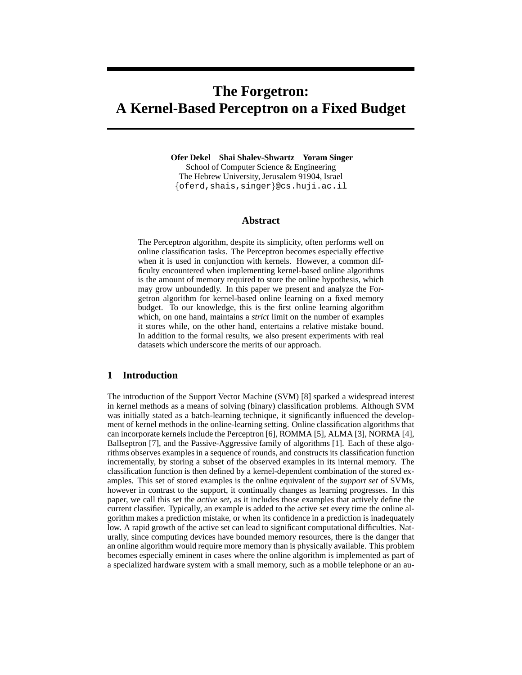# **The Forgetron: A Kernel-Based Perceptron on a Fixed Budget**

**Ofer Dekel Shai Shalev-Shwartz Yoram Singer** School of Computer Science & Engineering The Hebrew University, Jerusalem 91904, Israel {oferd,shais,singer}@cs.huji.ac.il

## **Abstract**

The Perceptron algorithm, despite its simplicity, often performs well on online classification tasks. The Perceptron becomes especially effective when it is used in conjunction with kernels. However, a common difficulty encountered when implementing kernel-based online algorithms is the amount of memory required to store the online hypothesis, which may grow unboundedly. In this paper we present and analyze the Forgetron algorithm for kernel-based online learning on a fixed memory budget. To our knowledge, this is the first online learning algorithm which, on one hand, maintains a *strict* limit on the number of examples it stores while, on the other hand, entertains a relative mistake bound. In addition to the formal results, we also present experiments with real datasets which underscore the merits of our approach.

## **1 Introduction**

The introduction of the Support Vector Machine (SVM) [8] sparked a widespread interest in kernel methods as a means of solving (binary) classification problems. Although SVM was initially stated as a batch-learning technique, it significantly influenced the development of kernel methods in the online-learning setting. Online classification algorithms that can incorporate kernels include the Perceptron [6], ROMMA [5], ALMA [3], NORMA [4], Ballseptron [7], and the Passive-Aggressive family of algorithms [1]. Each of these algorithms observes examples in a sequence of rounds, and constructs its classification function incrementally, by storing a subset of the observed examples in its internal memory. The classification function is then defined by a kernel-dependent combination of the stored examples. This set of stored examples is the online equivalent of the *support set* of SVMs, however in contrast to the support, it continually changes as learning progresses. In this paper, we call this set the *active set*, as it includes those examples that actively define the current classifier. Typically, an example is added to the active set every time the online algorithm makes a prediction mistake, or when its confidence in a prediction is inadequately low. A rapid growth of the active set can lead to significant computational difficulties. Naturally, since computing devices have bounded memory resources, there is the danger that an online algorithm would require more memory than is physically available. This problem becomes especially eminent in cases where the online algorithm is implemented as part of a specialized hardware system with a small memory, such as a mobile telephone or an au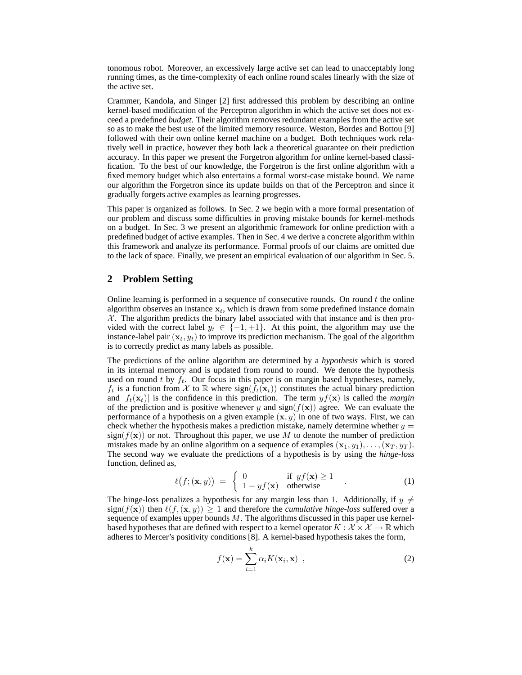tonomous robot. Moreover, an excessively large active set can lead to unacceptably long running times, as the time-complexity of each online round scales linearly with the size of the active set.

Crammer, Kandola, and Singer [2] first addressed this problem by describing an online kernel-based modification of the Perceptron algorithm in which the active set does not exceed a predefined *budget*. Their algorithm removes redundant examples from the active set so as to make the best use of the limited memory resource. Weston, Bordes and Bottou [9] followed with their own online kernel machine on a budget. Both techniques work relatively well in practice, however they both lack a theoretical guarantee on their prediction accuracy. In this paper we present the Forgetron algorithm for online kernel-based classification. To the best of our knowledge, the Forgetron is the first online algorithm with a fixed memory budget which also entertains a formal worst-case mistake bound. We name our algorithm the Forgetron since its update builds on that of the Perceptron and since it gradually forgets active examples as learning progresses.

This paper is organized as follows. In Sec. 2 we begin with a more formal presentation of our problem and discuss some difficulties in proving mistake bounds for kernel-methods on a budget. In Sec. 3 we present an algorithmic framework for online prediction with a predefined budget of active examples. Then in Sec. 4 we derive a concrete algorithm within this framework and analyze its performance. Formal proofs of our claims are omitted due to the lack of space. Finally, we present an empirical evaluation of our algorithm in Sec. 5.

## **2 Problem Setting**

Online learning is performed in a sequence of consecutive rounds. On round  $t$  the online algorithm observes an instance  $x_t$ , which is drawn from some predefined instance domain  $X$ . The algorithm predicts the binary label associated with that instance and is then provided with the correct label  $y_t \in \{-1, +1\}$ . At this point, the algorithm may use the instance-label pair  $(x_t, y_t)$  to improve its prediction mechanism. The goal of the algorithm is to correctly predict as many labels as possible.

The predictions of the online algorithm are determined by a *hypothesis* which is stored in its internal memory and is updated from round to round. We denote the hypothesis used on round t by  $f_t$ . Our focus in this paper is on margin based hypotheses, namely,  $f_t$  is a function from X to R where  $sign(f_t(\mathbf{x}_t))$  constitutes the actual binary prediction and  $|f_t(\mathbf{x}_t)|$  is the confidence in this prediction. The term  $yf(\mathbf{x})$  is called the *margin* of the prediction and is positive whenever y and sign( $f(\mathbf{x})$ ) agree. We can evaluate the performance of a hypothesis on a given example  $(x, y)$  in one of two ways. First, we can check whether the hypothesis makes a prediction mistake, namely determine whether  $y =$  $sign(f(x))$  or not. Throughout this paper, we use M to denote the number of prediction mistakes made by an online algorithm on a sequence of examples  $(x_1, y_1), \ldots, (x_T, y_T)$ . The second way we evaluate the predictions of a hypothesis is by using the *hinge-loss* function, defined as,

$$
\ell(f; (\mathbf{x}, y)) = \begin{cases} 0 & \text{if } yf(\mathbf{x}) \ge 1 \\ 1 - yf(\mathbf{x}) & \text{otherwise} \end{cases}
$$
 (1)

The hinge-loss penalizes a hypothesis for any margin less than 1. Additionally, if  $y \neq$  $sign(f(x))$  then  $\ell(f, (x, y)) \ge 1$  and therefore the *cumulative hinge-loss* suffered over a sequence of examples upper bounds  $M$ . The algorithms discussed in this paper use kernelbased hypotheses that are defined with respect to a kernel operator  $K : \mathcal{X} \times \mathcal{X} \to \mathbb{R}$  which adheres to Mercer's positivity conditions [8]. A kernel-based hypothesis takes the form,

$$
f(\mathbf{x}) = \sum_{i=1}^{k} \alpha_i K(\mathbf{x}_i, \mathbf{x}) \tag{2}
$$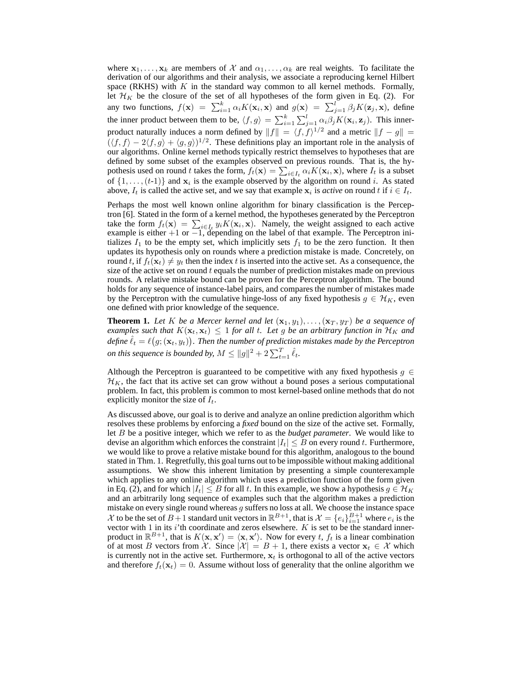where  $x_1, \ldots, x_k$  are members of X and  $\alpha_1, \ldots, \alpha_k$  are real weights. To facilitate the derivation of our algorithms and their analysis, we associate a reproducing kernel Hilbert space (RKHS) with  $K$  in the standard way common to all kernel methods. Formally, let  $\mathcal{H}_K$  be the closure of the set of all hypotheses of the form given in Eq. (2). For any two functions,  $f(\mathbf{x}) = \sum_{i=1}^{k} \alpha_i K(\mathbf{x}_i, \mathbf{x})$  and  $g(\mathbf{x}) = \sum_{j=1}^{l} \beta_j K(\mathbf{z}_j, \mathbf{x})$ , define the inner product between them to be,  $\langle f, g \rangle = \sum_{i=1}^{k} \sum_{j=1}^{l} \alpha_i \beta_j K(\mathbf{x}_i, \mathbf{z}_j)$ . This innerproduct naturally induces a norm defined by  $||f|| = \langle f, f \rangle^{1/2}$  and a metric  $||f - g|| =$  $(\langle f, f \rangle - 2\langle f, g \rangle + \langle g, g \rangle)^{1/2}$ . These definitions play an important role in the analysis of our algorithms. Online kernel methods typically restrict themselves to hypotheses that are defined by some subset of the examples observed on previous rounds. That is, the hypothesis used on round t takes the form,  $f_t(\mathbf{x}) = \sum_{i \in I_t} \alpha_i K(\mathbf{x}_i, \mathbf{x})$ , where  $I_t$  is a subset of  $\{1, \ldots, (t-1)\}$  and  $x_i$  is the example observed by the algorithm on round i. As stated above,  $I_t$  is called the active set, and we say that example  $x_i$  is *active* on round t if  $i \in I_t$ .

Perhaps the most well known online algorithm for binary classification is the Perceptron [6]. Stated in the form of a kernel method, the hypotheses generated by the Perceptron take the form  $f_t(\mathbf{x}) = \sum_{i \in I_t} y_i K(\mathbf{x}_i, \mathbf{x})$ . Namely, the weight assigned to each active example is either  $+1$  or  $-1$ , depending on the label of that example. The Perceptron initializes  $I_1$  to be the empty set, which implicitly sets  $f_1$  to be the zero function. It then updates its hypothesis only on rounds where a prediction mistake is made. Concretely, on round t, if  $f_t(\mathbf{x}_t) \neq y_t$  then the index t is inserted into the active set. As a consequence, the size of the active set on round  $t$  equals the number of prediction mistakes made on previous rounds. A relative mistake bound can be proven for the Perceptron algorithm. The bound holds for any sequence of instance-label pairs, and compares the number of mistakes made by the Perceptron with the cumulative hinge-loss of any fixed hypothesis  $g \in \mathcal{H}_K$ , even one defined with prior knowledge of the sequence.

**Theorem 1.** Let K be a Mercer kernel and let  $(x_1, y_1), \ldots, (x_T, y_T)$  be a sequence of *examples such that*  $K(\mathbf{x}_t, \mathbf{x}_t) \leq 1$  *for all t. Let g be an arbitrary function in*  $\mathcal{H}_K$  *and* define  $\hat{\ell}_t = \ell\big(g; (\mathbf{x}_t, y_t)\big).$  Then the number of prediction mistakes made by the Perceptron *on this sequence is bounded by,*  $M \leq ||g||^2 + 2\sum_{t=1}^{T} \hat{\ell}_t$ *.* 

Although the Perceptron is guaranteed to be competitive with any fixed hypothesis  $g \in$  $\mathcal{H}_K$ , the fact that its active set can grow without a bound poses a serious computational problem. In fact, this problem is common to most kernel-based online methods that do not explicitly monitor the size of  $I_t$ .

As discussed above, our goal is to derive and analyze an online prediction algorithm which resolves these problems by enforcing a *fixed* bound on the size of the active set. Formally, let B be a positive integer, which we refer to as the *budget parameter*. We would like to devise an algorithm which enforces the constraint  $|I_t| \leq B$  on every round t. Furthermore, we would like to prove a relative mistake bound for this algorithm, analogous to the bound stated in Thm. 1. Regretfully, this goal turns out to be impossible without making additional assumptions. We show this inherent limitation by presenting a simple counterexample which applies to any online algorithm which uses a prediction function of the form given in Eq. (2), and for which  $|I_t| \leq B$  for all t. In this example, we show a hypothesis  $g \in \mathcal{H}_K$ and an arbitrarily long sequence of examples such that the algorithm makes a prediction mistake on every single round whereas  $g$  suffers no loss at all. We choose the instance space X to be the set of  $B+1$  standard unit vectors in  $\mathbb{R}^{B+1}$ , that is  $\mathcal{X} = \{e_i\}_{i=1}^{B+1}$  where  $e_i$  is the vector with 1 in its i'th coordinate and zeros elsewhere.  $K$  is set to be the standard innerproduct in  $\mathbb{R}^{B+1}$ , that is  $K(\mathbf{x}, \mathbf{x}') = \langle \mathbf{x}, \mathbf{x}' \rangle$ . Now for every t,  $f_t$  is a linear combination of at most B vectors from X. Since  $|\mathcal{X}| = B + 1$ , there exists a vector  $\mathbf{x}_t \in \mathcal{X}$  which is currently not in the active set. Furthermore,  $x_t$  is orthogonal to all of the active vectors and therefore  $f_t(\mathbf{x}_t) = 0$ . Assume without loss of generality that the online algorithm we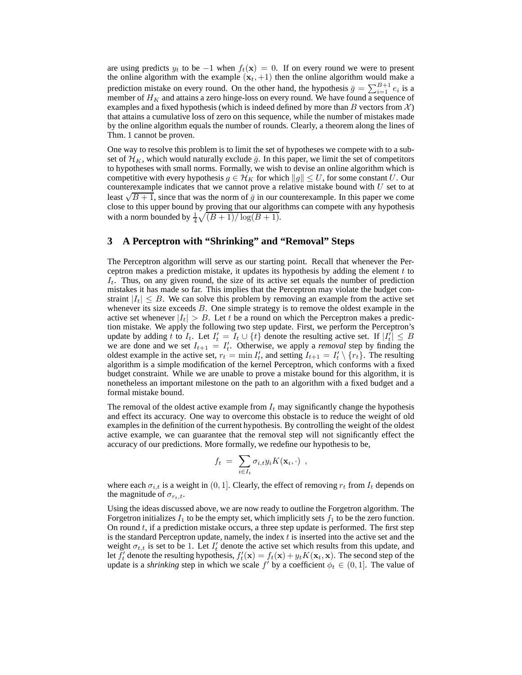are using predicts  $y_t$  to be  $-1$  when  $f_t(\mathbf{x}) = 0$ . If on every round we were to present the online algorithm with the example  $(x_t, +1)$  then the online algorithm would make a prediction mistake on every round. On the other hand, the hypothesis  $\bar{g} = \sum_{i=1}^{B+1} e_i$  is a member of  $H_K$  and attains a zero hinge-loss on every round. We have found a sequence of examples and a fixed hypothesis (which is indeed defined by more than B vectors from  $\mathcal{X}$ ) that attains a cumulative loss of zero on this sequence, while the number of mistakes made by the online algorithm equals the number of rounds. Clearly, a theorem along the lines of Thm. 1 cannot be proven.

One way to resolve this problem is to limit the set of hypotheses we compete with to a subset of  $\mathcal{H}_K$ , which would naturally exclude  $\bar{g}$ . In this paper, we limit the set of competitors to hypotheses with small norms. Formally, we wish to devise an online algorithm which is competitive with every hypothesis  $g \in \mathcal{H}_K$  for which  $||g|| \leq U$ , for some constant U. Our counterexample indicates that we cannot prove a relative mistake bound with  $U$  set to at Least  $\sqrt{B+1}$ , since that was the norm of  $\bar{g}$  in our counterexample. In this paper we come close to this upper bound by proving that our algorithms can compete with any hypothesis with a norm bounded by  $\frac{1}{4}\sqrt{(B+1)/\log(B+1)}$ .

# **3 A Perceptron with "Shrinking" and "Removal" Steps**

The Perceptron algorithm will serve as our starting point. Recall that whenever the Perceptron makes a prediction mistake, it updates its hypothesis by adding the element  $t$  to  $I_t$ . Thus, on any given round, the size of its active set equals the number of prediction mistakes it has made so far. This implies that the Perceptron may violate the budget constraint  $|I_t| \leq B$ . We can solve this problem by removing an example from the active set whenever its size exceeds  $B$ . One simple strategy is to remove the oldest example in the active set whenever  $|I_t| > B$ . Let t be a round on which the Perceptron makes a prediction mistake. We apply the following two step update. First, we perform the Perceptron's update by adding t to  $I_t$ . Let  $I'_t = I_t \cup \{t\}$  denote the resulting active set. If  $|I'_t| \leq B$ we are done and we set  $I_{t+1} = I_t$ . Otherwise, we apply a *removal* step by finding the oldest example in the active set,  $r_t = \min I'_t$ , and setting  $I_{t+1} = I'_t \setminus \{r_t\}$ . The resulting algorithm is a simple modification of the kernel Perceptron, which conforms with a fixed budget constraint. While we are unable to prove a mistake bound for this algorithm, it is nonetheless an important milestone on the path to an algorithm with a fixed budget and a formal mistake bound.

The removal of the oldest active example from  $I_t$  may significantly change the hypothesis and effect its accuracy. One way to overcome this obstacle is to reduce the weight of old examples in the definition of the current hypothesis. By controlling the weight of the oldest active example, we can guarantee that the removal step will not significantly effect the accuracy of our predictions. More formally, we redefine our hypothesis to be,

$$
f_t = \sum_{i \in I_t} \sigma_{i,t} y_i K(\mathbf{x}_i, \cdot) ,
$$

where each  $\sigma_{i,t}$  is a weight in (0, 1]. Clearly, the effect of removing  $r_t$  from  $I_t$  depends on the magnitude of  $\sigma_{r_t,t}$ .

Using the ideas discussed above, we are now ready to outline the Forgetron algorithm. The Forgetron initializes  $I_1$  to be the empty set, which implicitly sets  $f_1$  to be the zero function. On round  $t$ , if a prediction mistake occurs, a three step update is performed. The first step is the standard Perceptron update, namely, the index  $t$  is inserted into the active set and the weight  $\sigma_{t,t}$  is set to be 1. Let  $I'_t$  denote the active set which results from this update, and let  $f'_t$  denote the resulting hypothesis,  $f'_t(\mathbf{x}) = f_t(\mathbf{x}) + y_t K(\mathbf{x}_t, \mathbf{x})$ . The second step of the update is a *shrinking* step in which we scale  $f'$  by a coefficient  $\phi_t \in (0, 1]$ . The value of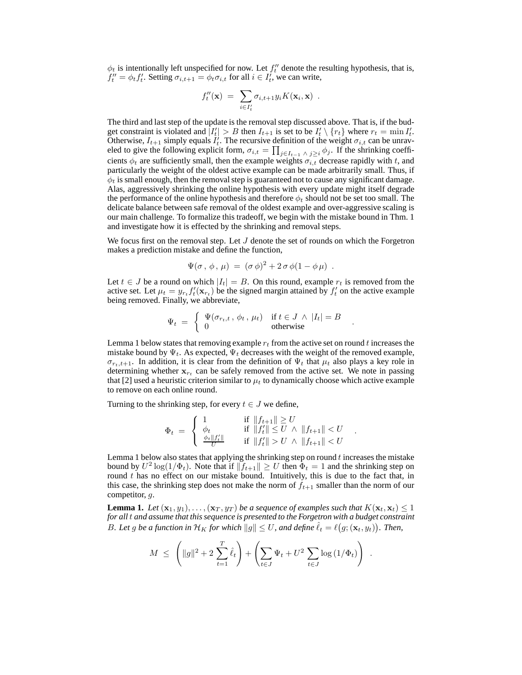$\phi_t$  is intentionally left unspecified for now. Let  $f''_t$  denote the resulting hypothesis, that is,  $f''_t = \phi_t f'_t$ . Setting  $\sigma_{i,t+1} = \phi_t \sigma_{i,t}$  for all  $i \in I'_t$ , we can write,

$$
f''_t(\mathbf{x}) = \sum_{i \in I'_t} \sigma_{i,t+1} y_i K(\mathbf{x}_i, \mathbf{x}) .
$$

The third and last step of the update is the removal step discussed above. That is, if the budget constraint is violated and  $\left|I_t'\right| > B$  then  $I_{t+1}$  is set to be  $I_t' \setminus \{r_t\}$  where  $r_t = \min I_t'.$ Otherwise,  $I_{t+1}$  simply equals  $I_t^j$ . The recursive definition of the weight  $\sigma_{i,t}$  can be unraveled to give the following explicit form,  $\sigma_{i,t} = \prod_{j \in I_{t-1}} \wedge j \geq i} \phi_j$ . If the shrinking coefficients  $\phi_t$  are sufficiently small, then the example weights  $\sigma_{i,t}$  decrease rapidly with t, and particularly the weight of the oldest active example can be made arbitrarily small. Thus, if  $\phi_t$  is small enough, then the removal step is guaranteed not to cause any significant damage. Alas, aggressively shrinking the online hypothesis with every update might itself degrade the performance of the online hypothesis and therefore  $\phi_t$  should not be set too small. The delicate balance between safe removal of the oldest example and over-aggressive scaling is our main challenge. To formalize this tradeoff, we begin with the mistake bound in Thm. 1 and investigate how it is effected by the shrinking and removal steps.

We focus first on the removal step. Let  $J$  denote the set of rounds on which the Forgetron makes a prediction mistake and define the function,

$$
\Psi(\sigma\,,\,\phi\,,\,\mu) \;=\; (\sigma\,\phi)^2 + 2\,\sigma\,\phi(1-\phi\,\mu) \;\;.
$$

Let  $t \in J$  be a round on which  $|I_t| = B$ . On this round, example  $r_t$  is removed from the active set. Let  $\mu_t = y_{r_t} f'_t(\mathbf{x}_{r_t})$  be the signed margin attained by  $f'_t$  on the active example being removed. Finally, we abbreviate,

$$
\Psi_t = \begin{cases} \Psi(\sigma_{r_t,t}, \phi_t, \mu_t) & \text{if } t \in J \wedge |I_t| = B \\ 0 & \text{otherwise} \end{cases}.
$$

Lemma 1 below states that removing example  $r_t$  from the active set on round t increases the mistake bound by  $\Psi_t$ . As expected,  $\Psi_t$  decreases with the weight of the removed example,  $\sigma_{r,t,t+1}$ . In addition, it is clear from the definition of  $\Psi_t$  that  $\mu_t$  also plays a key role in determining whether  $x_{r_t}$  can be safely removed from the active set. We note in passing that [2] used a heuristic criterion similar to  $\mu_t$  to dynamically choose which active example to remove on each online round.

Turning to the shrinking step, for every  $t \in J$  we define,

$$
\Phi_t = \begin{cases}\n1 & \text{if } \|f_{t+1}\| \ge U \\
\phi_t & \text{if } \|f'_t\| \le U \land \|f_{t+1}\| < U \\
\frac{\phi_t \|f'_t\|}{U} & \text{if } \|f'_t\| > U \land \|f_{t+1}\| < U\n\end{cases}.
$$

Lemma 1 below also states that applying the shrinking step on round t increases the mistake bound by  $U^2 \log(1/\Phi_t)$ . Note that if  $||f_{t+1}|| \geq U$  then  $\Phi_t = 1$  and the shrinking step on round  $t$  has no effect on our mistake bound. Intuitively, this is due to the fact that, in this case, the shrinking step does not make the norm of  $f_{t+1}$  smaller than the norm of our competitor, g.

**Lemma 1.** Let  $(\mathbf{x}_1, y_1), \ldots, (\mathbf{x}_T, y_T)$  be a sequence of examples such that  $K(\mathbf{x}_t, \mathbf{x}_t) \leq 1$ *for all*t *and assume that this sequence is presented to the Forgetron with a budget constraint* B. Let g be a function in  $\mathcal{H}_K$  for which  $||g|| \leq U$ , and define  $\hat{\ell}_t = \ell(g; (\mathbf{x}_t, y_t))$ . Then,

$$
M \ \leq \ \left( \|g\|^2 + 2 \sum_{t=1}^T \hat{\ell}_t \right) + \left( \sum_{t \in J} \Psi_t + U^2 \sum_{t \in J} \log \left(1/\Phi_t \right) \right) \ .
$$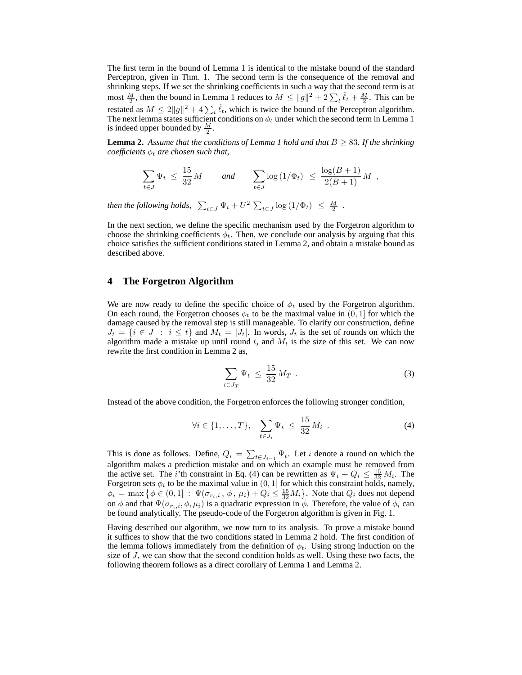The first term in the bound of Lemma 1 is identical to the mistake bound of the standard Perceptron, given in Thm. 1. The second term is the consequence of the removal and shrinking steps. If we set the shrinking coefficients in such a way that the second term is at most  $\frac{M}{2}$ , then the bound in Lemma 1 reduces to  $M \le ||g||^2 + 2\sum_{t} \hat{\ell}_t + \frac{M}{2}$ . This can be restated as  $M \leq 2||g||^2 + 4\sum_t \hat{\ell}_t$ , which is twice the bound of the Perceptron algorithm. The next lemma states sufficient conditions on  $\phi_t$  under which the second term in Lemma 1 is indeed upper bounded by  $\frac{M}{2}$ .

**Lemma 2.** Assume that the conditions of Lemma 1 hold and that  $B \geq 83$ . If the shrinking *coefficients*  $\phi_t$  *are chosen such that,* 

$$
\sum_{t \in J} \Psi_t \ \leq \ \frac{15}{32} \, M \qquad \text{and} \qquad \sum_{t \in J} \log \left( 1/\Phi_t \right) \ \leq \ \frac{\log(B+1)}{2(B+1)} \, M \ ,
$$

*then the following holds,*  $\sum_{t \in J} \Psi_t + U^2 \sum_{t \in J} \log(1/\Phi_t) \leq \frac{M}{2}$ .

In the next section, we define the specific mechanism used by the Forgetron algorithm to choose the shrinking coefficients  $\phi_t$ . Then, we conclude our analysis by arguing that this choice satisfies the sufficient conditions stated in Lemma 2, and obtain a mistake bound as described above.

# **4 The Forgetron Algorithm**

We are now ready to define the specific choice of  $\phi_t$  used by the Forgetron algorithm. On each round, the Forgetron chooses  $\phi_t$  to be the maximal value in  $(0, 1]$  for which the damage caused by the removal step is still manageable. To clarify our construction, define  $J_t = \{i \in J : i \leq t\}$  and  $M_t = |J_t|$ . In words,  $J_t$  is the set of rounds on which the algorithm made a mistake up until round  $t$ , and  $M_t$  is the size of this set. We can now rewrite the first condition in Lemma 2 as,

$$
\sum_{t \in J_T} \Psi_t \leq \frac{15}{32} M_T \tag{3}
$$

Instead of the above condition, the Forgetron enforces the following stronger condition,

$$
\forall i \in \{1,\ldots,T\}, \quad \sum_{t \in J_i} \Psi_t \leq \frac{15}{32} M_i \quad . \tag{4}
$$

This is done as follows. Define,  $Q_i = \sum_{t \in J_{i-1}} \Psi_t$ . Let i denote a round on which the algorithm makes a prediction mistake and on which an example must be removed from the active set. The *i*'th constraint in Eq. (4) can be rewritten as  $\Psi_i + Q_i \leq \frac{15}{32} M_i$ . The Forgetron sets  $\phi_i$  to be the maximal value in  $(0,1]$  for which this constraint holds, namely,  $\phi_i = \max \big\{ \phi \in (0,1] : \Psi(\sigma_{r_i,i},\phi,\mu_i) + Q_i \leq \frac{15}{32} M_i \big\}.$  Note that  $Q_i$  does not depend on  $\phi$  and that  $\Psi(\sigma_{r_i,i}, \phi, \mu_i)$  is a quadratic expression in  $\phi$ . Therefore, the value of  $\phi_i$  can be found analytically. The pseudo-code of the Forgetron algorithm is given in Fig. 1.

Having described our algorithm, we now turn to its analysis. To prove a mistake bound it suffices to show that the two conditions stated in Lemma 2 hold. The first condition of the lemma follows immediately from the definition of  $\phi_t$ . Using strong induction on the size of  $J$ , we can show that the second condition holds as well. Using these two facts, the following theorem follows as a direct corollary of Lemma 1 and Lemma 2.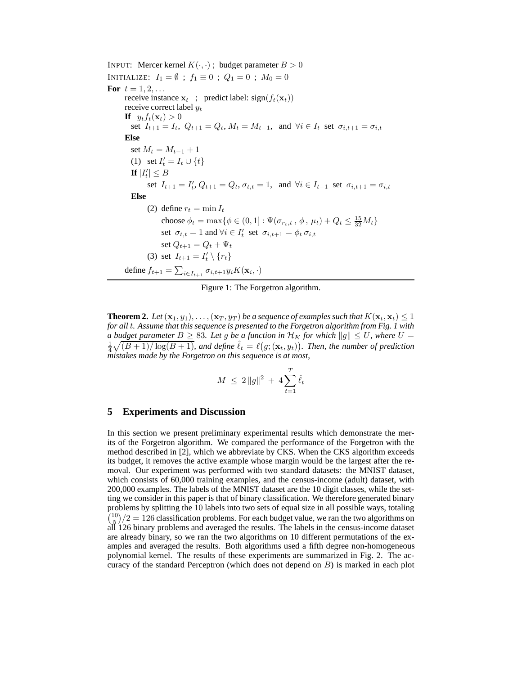INPUT: Mercer kernel  $K(\cdot, \cdot)$ ; budget parameter  $B > 0$ INITIALIZE:  $I_1 = \emptyset$ ;  $f_1 \equiv 0$ ;  $Q_1 = 0$ ;  $M_0 = 0$ **For**  $t = 1, 2, ...$ receive instance  $x_t$ ; predict label: sign( $f_t(x_t)$ ) receive correct label  $y_t$ **If**  $y_t f_t(\mathbf{x}_t) > 0$ set  $I_{t+1} = I_t$ ,  $Q_{t+1} = Q_t$ ,  $M_t = M_{t-1}$ , and  $\forall i \in I_t$  set  $\sigma_{i,t+1} = \sigma_{i,t}$ **Else** set  $M_t = M_{t-1} + 1$ (1) set  $I'_t = I_t \cup \{t\}$ **If**  $|I'_t| \leq B$ set  $I_{t+1} = I'_{t}, Q_{t+1} = Q_{t}, \sigma_{t,t} = 1$ , and  $\forall i \in I_{t+1}$  set  $\sigma_{i,t+1} = \sigma_{i,t}$ **Else** (2) define  $r_t = \min I_t$ choose  $\phi_t = \max\{\phi \in (0, 1] : \Psi(\sigma_{r_t, t}, \phi, \mu_t) + Q_t \leq \frac{15}{32} M_t\}$ set  $\sigma_{t,t} = 1$  and  $\forall i \in I'_t$  set  $\sigma_{i,t+1} = \phi_t \sigma_{i,t}$ set  $Q_{t+1} = Q_t + \Psi_t$ (3) set  $I_{t+1} = I'_t \setminus \{r_t\}$ define  $f_{t+1} = \sum_{i \in I_{t+1}} \sigma_{i,t+1} y_i K(\mathbf{x}_i, \cdot)$ 

Figure 1: The Forgetron algorithm.

**Theorem 2.** Let  $(\mathbf{x}_1, y_1), \ldots, (\mathbf{x}_T, y_T)$  be a sequence of examples such that  $K(\mathbf{x}_t, \mathbf{x}_t) \leq 1$ *for all* t*. Assume that this sequence is presented to the Forgetron algorithm from Fig. 1 with a budget parameter*  $B \geq 83$ *. Let g be a function in*  $\mathcal{H}_K$  *for which*  $||g|| \leq U$ *, where*  $U =$  $\frac{1}{4}\sqrt{(B+1)/\log(B+1)}$ , and define  $\hat{\ell}_t = \ell(g; (\mathbf{x}_t, y_t))$ . Then, the number of prediction *mistakes made by the Forgetron on this sequence is at most,*

$$
M \ \leq \ 2 \, \|g\|^2 \ + \ 4 \sum_{t=1}^T \hat{\ell}_t
$$

## **5 Experiments and Discussion**

In this section we present preliminary experimental results which demonstrate the merits of the Forgetron algorithm. We compared the performance of the Forgetron with the method described in [2], which we abbreviate by CKS. When the CKS algorithm exceeds its budget, it removes the active example whose margin would be the largest after the removal. Our experiment was performed with two standard datasets: the MNIST dataset, which consists of 60,000 training examples, and the census-income (adult) dataset, with 200,000 examples. The labels of the MNIST dataset are the 10 digit classes, while the setting we consider in this paper is that of binary classification. We therefore generated binary problems by splitting the 10 labels into two sets of equal size in all possible ways, totaling  $\binom{10}{5}/2 = 126$  classification problems. For each budget value, we ran the two algorithms on all 126 binary problems and averaged the results. The labels in the census-income dataset are already binary, so we ran the two algorithms on 10 different permutations of the examples and averaged the results. Both algorithms used a fifth degree non-homogeneous polynomial kernel. The results of these experiments are summarized in Fig. 2. The accuracy of the standard Perceptron (which does not depend on  $B$ ) is marked in each plot